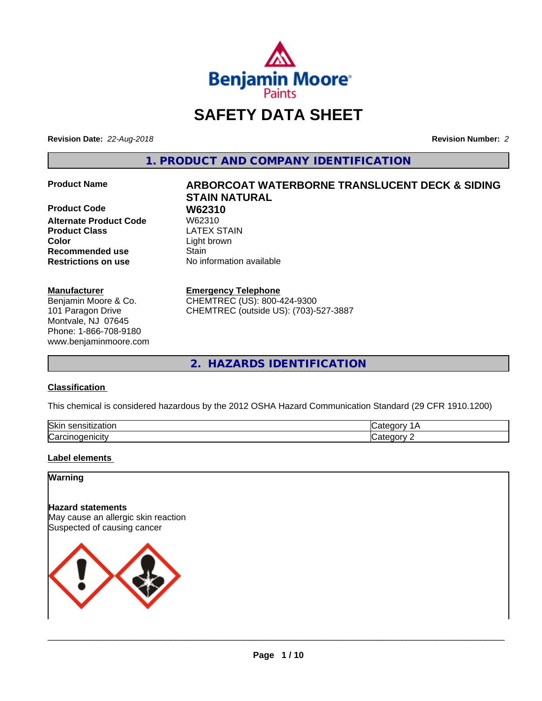

# **SAFETY DATA SHEET**

**Revision Date:** *22-Aug-2018* **Revision Number:** *2*

**1. PRODUCT AND COMPANY IDENTIFICATION**

**Product Code 61 W62310**<br>Alternate Product Code 61 W62310 **Alternate Product Code Product Class LATEX STAIN Color** Light brown **Recommended use Stain Restrictions on use** No information available

#### **Manufacturer**

Benjamin Moore & Co. 101 Paragon Drive Montvale, NJ 07645 Phone: 1-866-708-9180 www.benjaminmoore.com

# **Product Name ARBORCOAT WATERBORNE TRANSLUCENT DECK & SIDING STAIN NATURAL**

#### **Emergency Telephone**

CHEMTREC (US): 800-424-9300 CHEMTREC (outside US): (703)-527-3887

**2. HAZARDS IDENTIFICATION**

#### **Classification**

This chemical is considered hazardous by the 2012 OSHA Hazard Communication Standard (29 CFR 1910.1200)

| <b>Ski</b><br>uor<br>- 11 |  |
|---------------------------|--|
| ∽<br>. . аг               |  |

#### **Label elements**

#### **Warning**

**Hazard statements** May cause an allergic skin reaction Suspected of causing cancer

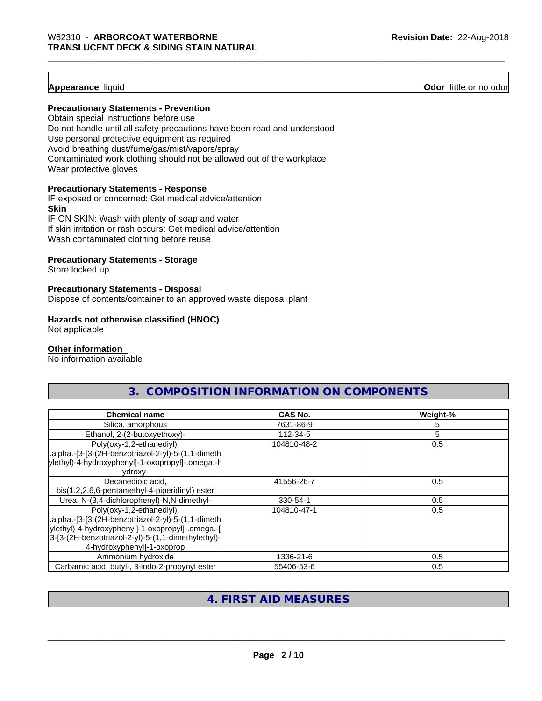#### **Appearance** liquid

**Odor** little or no odor

#### **Precautionary Statements - Prevention**

Obtain special instructions before use Do not handle until all safety precautions have been read and understood Use personal protective equipment as required Avoid breathing dust/fume/gas/mist/vapors/spray Contaminated work clothing should not be allowed out of the workplace Wear protective gloves

#### **Precautionary Statements - Response**

IF exposed or concerned: Get medical advice/attention **Skin** IF ON SKIN: Wash with plenty of soap and water

If skin irritation or rash occurs: Get medical advice/attention Wash contaminated clothing before reuse

#### **Precautionary Statements - Storage**

Store locked up

#### **Precautionary Statements - Disposal**

Dispose of contents/container to an approved waste disposal plant

#### **Hazards not otherwise classified (HNOC)**

Not applicable

#### **Other information**

No information available

| 3. COMPOSITION INFORMATION ON COMPONENTS                                         |             |          |  |
|----------------------------------------------------------------------------------|-------------|----------|--|
| <b>Chemical name</b>                                                             | CAS No.     | Weight-% |  |
| Silica, amorphous                                                                | 7631-86-9   |          |  |
| Ethanol, 2-(2-butoxyethoxy)-                                                     | 112-34-5    |          |  |
| Poly(oxy-1,2-ethanediyl),<br>.alpha.-[3-[3-(2H-benzotriazol-2-yl)-5-(1,1-dimeth] | 104810-48-2 | 0.5      |  |
| ylethyl)-4-hydroxyphenyl]-1-oxopropyl]-.omega.-h<br>ydroxy-                      |             |          |  |

| vui vxv-                                           |             |     |
|----------------------------------------------------|-------------|-----|
| Decanedioic acid.                                  | 41556-26-7  | 0.5 |
| bis(1,2,2,6,6-pentamethyl-4-piperidinyl) ester     |             |     |
| Urea, N-(3,4-dichlorophenyl)-N,N-dimethyl-         | 330-54-1    | 0.5 |
| Poly(oxy-1,2-ethanediyl),                          | 104810-47-1 | 0.5 |
| alpha.-[3-[3-(2H-benzotriazol-2-yl)-5-(1,1-dimeth. |             |     |
| ylethyl)-4-hydroxyphenyl]-1-oxopropyl]-.omega.-[   |             |     |
| 3-[3-(2H-benzotriazol-2-yl)-5-(1,1-dimethylethyl)- |             |     |
| 4-hydroxyphenyl]-1-oxoprop                         |             |     |
| Ammonium hydroxide                                 | 1336-21-6   | 0.5 |
| Carbamic acid, butyl-, 3-iodo-2-propynyl ester     | 55406-53-6  | 0.5 |

#### **4. FIRST AID MEASURES**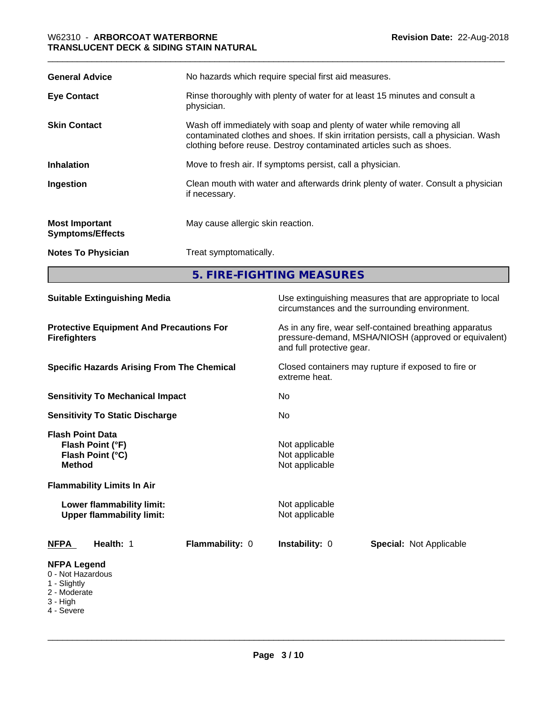| <b>General Advice</b>                            | No hazards which require special first aid measures.                                                                                                                                                                                |  |
|--------------------------------------------------|-------------------------------------------------------------------------------------------------------------------------------------------------------------------------------------------------------------------------------------|--|
| <b>Eye Contact</b>                               | Rinse thoroughly with plenty of water for at least 15 minutes and consult a<br>physician.                                                                                                                                           |  |
| <b>Skin Contact</b>                              | Wash off immediately with soap and plenty of water while removing all<br>contaminated clothes and shoes. If skin irritation persists, call a physician. Wash<br>clothing before reuse. Destroy contaminated articles such as shoes. |  |
| <b>Inhalation</b>                                | Move to fresh air. If symptoms persist, call a physician.                                                                                                                                                                           |  |
| Ingestion                                        | Clean mouth with water and afterwards drink plenty of water. Consult a physician<br>if necessary.                                                                                                                                   |  |
| <b>Most Important</b><br><b>Symptoms/Effects</b> | May cause allergic skin reaction.                                                                                                                                                                                                   |  |
| <b>Notes To Physician</b>                        | Treat symptomatically.                                                                                                                                                                                                              |  |
|                                                  | 5. FIRE-FIGHTING MEASURES                                                                                                                                                                                                           |  |

| <b>Suitable Extinguishing Media</b>                                                                                   | Use extinguishing measures that are appropriate to local<br>circumstances and the surrounding environment.                                   |
|-----------------------------------------------------------------------------------------------------------------------|----------------------------------------------------------------------------------------------------------------------------------------------|
| <b>Protective Equipment And Precautions For</b><br><b>Firefighters</b>                                                | As in any fire, wear self-contained breathing apparatus<br>pressure-demand, MSHA/NIOSH (approved or equivalent)<br>and full protective gear. |
| <b>Specific Hazards Arising From The Chemical</b>                                                                     | Closed containers may rupture if exposed to fire or<br>extreme heat.                                                                         |
| <b>Sensitivity To Mechanical Impact</b>                                                                               | No                                                                                                                                           |
| <b>Sensitivity To Static Discharge</b>                                                                                | No                                                                                                                                           |
| <b>Flash Point Data</b><br>Flash Point (°F)<br>Flash Point (°C)<br><b>Method</b><br><b>Flammability Limits In Air</b> | Not applicable<br>Not applicable<br>Not applicable                                                                                           |
| Lower flammability limit:<br><b>Upper flammability limit:</b>                                                         | Not applicable<br>Not applicable                                                                                                             |
| Flammability: 0<br><b>NFPA</b><br>Health: 1                                                                           | <b>Instability: 0</b><br><b>Special: Not Applicable</b>                                                                                      |
| <b>NFPA Legend</b><br>0 - Not Hazardous<br>1 - Slightly<br>2 - Moderate<br>3 - High<br>4 - Severe                     |                                                                                                                                              |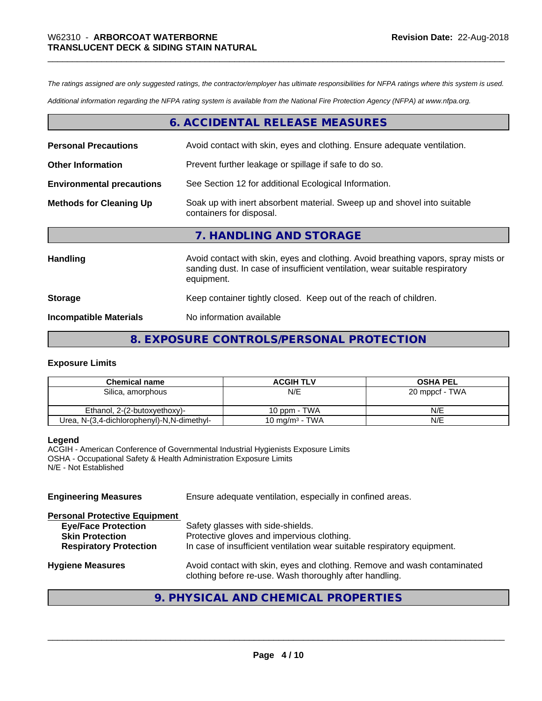*The ratings assigned are only suggested ratings, the contractor/employer has ultimate responsibilities for NFPA ratings where this system is used.*

*Additional information regarding the NFPA rating system is available from the National Fire Protection Agency (NFPA) at www.nfpa.org.*

#### **6. ACCIDENTAL RELEASE MEASURES**

| <b>Personal Precautions</b>      | Avoid contact with skin, eyes and clothing. Ensure adequate ventilation.                                                                                                         |
|----------------------------------|----------------------------------------------------------------------------------------------------------------------------------------------------------------------------------|
| <b>Other Information</b>         | Prevent further leakage or spillage if safe to do so.                                                                                                                            |
| <b>Environmental precautions</b> | See Section 12 for additional Ecological Information.                                                                                                                            |
| <b>Methods for Cleaning Up</b>   | Soak up with inert absorbent material. Sweep up and shovel into suitable<br>containers for disposal.                                                                             |
|                                  | 7. HANDLING AND STORAGE                                                                                                                                                          |
| Handling                         | Avoid contact with skin, eyes and clothing. Avoid breathing vapors, spray mists or<br>sanding dust. In case of insufficient ventilation, wear suitable respiratory<br>equipment. |
| <b>Storage</b>                   | Keep container tightly closed. Keep out of the reach of children.                                                                                                                |
| <b>Incompatible Materials</b>    | No information available                                                                                                                                                         |

#### **8. EXPOSURE CONTROLS/PERSONAL PROTECTION**

#### **Exposure Limits**

| <b>Chemical name</b>                       | <b>ACGIH TLV</b>           | <b>OSHA PEL</b> |
|--------------------------------------------|----------------------------|-----------------|
| Silica, amorphous                          | N/E                        | 20 mppcf - TWA  |
|                                            |                            |                 |
| Ethanol. 2-(2-butoxyethoxy)-               | 10 ppm - TWA               | N/E             |
| Urea, N-(3,4-dichlorophenyl)-N,N-dimethyl- | 10 mg/m <sup>3</sup> - TWA | N/E             |

#### **Legend**

ACGIH - American Conference of Governmental Industrial Hygienists Exposure Limits OSHA - Occupational Safety & Health Administration Exposure Limits N/E - Not Established

| <b>Engineering Measures</b>                                                                                                   | Ensure adequate ventilation, especially in confined areas.                                                                                                  |
|-------------------------------------------------------------------------------------------------------------------------------|-------------------------------------------------------------------------------------------------------------------------------------------------------------|
| <b>Personal Protective Equipment</b><br><b>Eye/Face Protection</b><br><b>Skin Protection</b><br><b>Respiratory Protection</b> | Safety glasses with side-shields.<br>Protective gloves and impervious clothing.<br>In case of insufficient ventilation wear suitable respiratory equipment. |
| <b>Hygiene Measures</b>                                                                                                       | Avoid contact with skin, eyes and clothing. Remove and wash contaminated<br>clothing before re-use. Wash thoroughly after handling.                         |

## **9. PHYSICAL AND CHEMICAL PROPERTIES**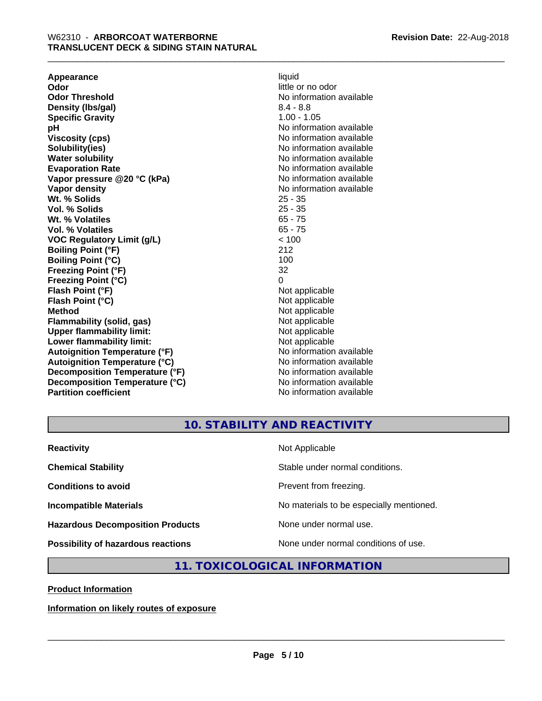**Appearance** liquid **and a limitation of the contract of the contract of the contract of the contract of the contract of the contract of the contract of the contract of the contract of the contract of the contract of the c Odor Threshold** No information available **Density (Ibs/gal)** 8.4 - 8.8<br> **Specific Gravity** 8.4 - 8.8 **Specific Gravity pH pH**  $\blacksquare$ **Viscosity (cps)** No information available in the Viscosity (cps) **Solubility(ies)** No information available **Water solubility** No information available **Evaporation Rate No information available No information available Vapor pressure @20 °C (kPa)** No information available **Vapor density No information available No** information available **Wt. % Solids** 25 - 35 **Vol. % Solids** 25 - 35 Wt. % Volatiles **Vol. % Volatiles** 65 - 75 **VOC Regulatory Limit (g/L)** < 100 **Boiling Point (°F)** 212 **Boiling Point (°C)** 100<br> **Preezing Point (°F)** 32 **Freezing Point (°F) Freezing Point (°C)** 0 **Flash Point (°F)** Not applicable **Flash Point (°C)** Not applicable **Method**<br> **Flammability (solid, gas)**<br> **Commability (solid, gas)**<br>
Mot applicable **Flammability (solid, gas)**<br> **Upper flammability limit:**<br>
Upper flammability limit:<br>  $\begin{array}{ccc}\n\bullet & \bullet & \bullet \\
\bullet & \bullet & \bullet\n\end{array}$ **Upper flammability limit:**<br> **Lower flammability limit:**<br>
Not applicable<br>
Not applicable **Lower flammability limit:**<br> **Autoianition Temperature (°F)** Not applicable Not applicable not a Not applicable **Autoignition Temperature (°F) Autoignition Temperature (°C)** No information available **Decomposition Temperature (°F)** No information available **Decomposition Temperature (°C)** No information available **Partition coefficient** No information available

little or no odor

#### **10. STABILITY AND REACTIVITY**

| <b>Reactivity</b>                         | Not Applicable                           |
|-------------------------------------------|------------------------------------------|
| <b>Chemical Stability</b>                 | Stable under normal conditions.          |
| <b>Conditions to avoid</b>                | Prevent from freezing.                   |
| <b>Incompatible Materials</b>             | No materials to be especially mentioned. |
| <b>Hazardous Decomposition Products</b>   | None under normal use.                   |
| <b>Possibility of hazardous reactions</b> | None under normal conditions of use.     |

#### **11. TOXICOLOGICAL INFORMATION**

**Product Information**

**Information on likely routes of exposure**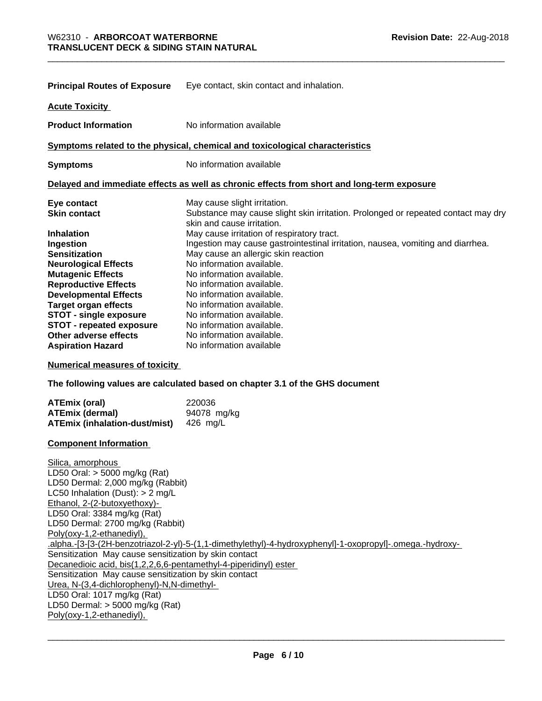| <b>Principal Routes of Exposure</b> | Eye contact, skin contact and inhalation.                                                                       |
|-------------------------------------|-----------------------------------------------------------------------------------------------------------------|
| <b>Acute Toxicity</b>               |                                                                                                                 |
| <b>Product Information</b>          | No information available                                                                                        |
|                                     | Symptoms related to the physical, chemical and toxicological characteristics                                    |
| <b>Symptoms</b>                     | No information available                                                                                        |
|                                     | Delayed and immediate effects as well as chronic effects from short and long-term exposure                      |
| Eye contact                         | May cause slight irritation.                                                                                    |
| <b>Skin contact</b>                 | Substance may cause slight skin irritation. Prolonged or repeated contact may dry<br>skin and cause irritation. |
| <b>Inhalation</b>                   | May cause irritation of respiratory tract.                                                                      |
| Ingestion                           | Ingestion may cause gastrointestinal irritation, nausea, vomiting and diarrhea.                                 |
| <b>Sensitization</b>                | May cause an allergic skin reaction                                                                             |
| <b>Neurological Effects</b>         | No information available.                                                                                       |
| <b>Mutagenic Effects</b>            | No information available.                                                                                       |
| <b>Reproductive Effects</b>         | No information available.                                                                                       |
| <b>Developmental Effects</b>        | No information available.                                                                                       |
| <b>Target organ effects</b>         | No information available.                                                                                       |
| <b>STOT - single exposure</b>       | No information available.                                                                                       |
| <b>STOT - repeated exposure</b>     | No information available.                                                                                       |
| Other adverse effects               | No information available.                                                                                       |
| <b>Aspiration Hazard</b>            | No information available                                                                                        |

**Numerical measures of toxicity**

**The following values are calculated based on chapter 3.1 of the GHS document**

| ATEmix (oral)                        | 220036      |
|--------------------------------------|-------------|
| ATEmix (dermal)                      | 94078 mg/kg |
| <b>ATEmix (inhalation-dust/mist)</b> | 426 ma/L    |

#### **Component Information**

Silica, amorphous LD50 Oral: > 5000 mg/kg (Rat) LD50 Dermal: 2,000 mg/kg (Rabbit) LC50 Inhalation (Dust): > 2 mg/L Ethanol, 2-(2-butoxyethoxy)- LD50 Oral: 3384 mg/kg (Rat) LD50 Dermal: 2700 mg/kg (Rabbit) Poly(oxy-1,2-ethanediyl), .alpha.-[3-[3-(2H-benzotriazol-2-yl)-5-(1,1-dimethylethyl)-4-hydroxyphenyl]-1-oxopropyl]-.omega.-hydroxy- Sensitization May cause sensitization by skin contact Decanedioic acid, bis(1,2,2,6,6-pentamethyl-4-piperidinyl) ester Sensitization May cause sensitization by skin contact Urea, N-(3,4-dichlorophenyl)-N,N-dimethyl- LD50 Oral: 1017 mg/kg (Rat) LD50 Dermal: > 5000 mg/kg (Rat) Poly(oxy-1,2-ethanediyl),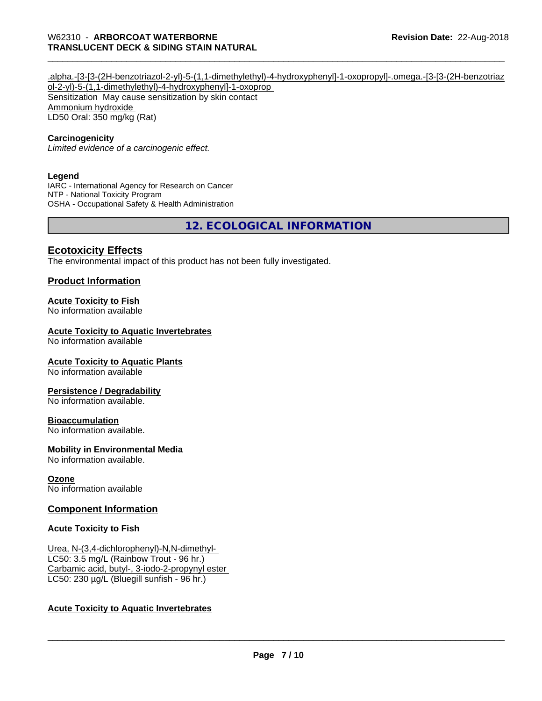.alpha.-[3-[3-(2H-benzotriazol-2-yl)-5-(1,1-dimethylethyl)-4-hydroxyphenyl]-1-oxopropyl]-.omega.-[3-[3-(2H-benzotriaz ol-2-yl)-5-(1,1-dimethylethyl)-4-hydroxyphenyl]-1-oxoprop Sensitization May cause sensitization by skin contact Ammonium hydroxide LD50 Oral: 350 mg/kg (Rat)

#### **Carcinogenicity**

*Limited evidence of a carcinogenic effect.*

#### **Legend**

IARC - International Agency for Research on Cancer NTP - National Toxicity Program OSHA - Occupational Safety & Health Administration

**12. ECOLOGICAL INFORMATION**

#### **Ecotoxicity Effects**

The environmental impact of this product has not been fully investigated.

#### **Product Information**

#### **Acute Toxicity to Fish**

No information available

#### **Acute Toxicity to Aquatic Invertebrates**

No information available

#### **Acute Toxicity to Aquatic Plants**

No information available

#### **Persistence / Degradability**

No information available.

#### **Bioaccumulation**

No information available.

#### **Mobility in Environmental Media**

No information available.

#### **Ozone**

No information available

#### **Component Information**

#### **Acute Toxicity to Fish**

Urea, N-(3,4-dichlorophenyl)-N,N-dimethyl- LC50: 3.5 mg/L (Rainbow Trout - 96 hr.) Carbamic acid, butyl-, 3-iodo-2-propynyl ester LC50: 230 µg/L (Bluegill sunfish - 96 hr.)

#### **Acute Toxicity to Aquatic Invertebrates**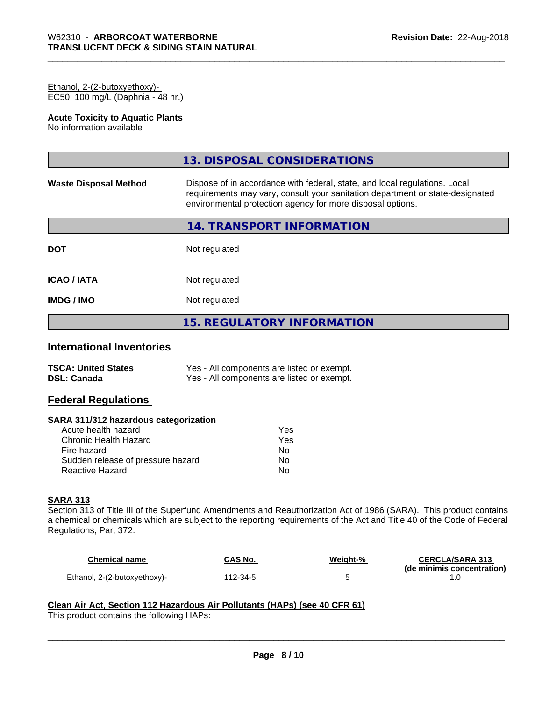#### Ethanol, 2-(2-butoxyethoxy)- EC50: 100 mg/L (Daphnia - 48 hr.)

#### **Acute Toxicity to Aquatic Plants**

No information available

|                              | 13. DISPOSAL CONSIDERATIONS                                                                                                                                                                                               |
|------------------------------|---------------------------------------------------------------------------------------------------------------------------------------------------------------------------------------------------------------------------|
| <b>Waste Disposal Method</b> | Dispose of in accordance with federal, state, and local regulations. Local<br>requirements may vary, consult your sanitation department or state-designated<br>environmental protection agency for more disposal options. |
|                              | 14. TRANSPORT INFORMATION                                                                                                                                                                                                 |
| <b>DOT</b>                   | Not regulated                                                                                                                                                                                                             |
| <b>ICAO / IATA</b>           | Not regulated                                                                                                                                                                                                             |
| <b>IMDG / IMO</b>            | Not regulated                                                                                                                                                                                                             |
|                              | <b>15. REGULATORY INFORMATION</b>                                                                                                                                                                                         |

## **International Inventories**

| <b>TSCA: United States</b> | Yes - All components are listed or exempt. |
|----------------------------|--------------------------------------------|
| <b>DSL: Canada</b>         | Yes - All components are listed or exempt. |

#### **Federal Regulations**

#### **SARA 311/312 hazardous categorization**

| Acute health hazard               | Yes |
|-----------------------------------|-----|
| Chronic Health Hazard             | Yes |
| Fire hazard                       | Nο  |
| Sudden release of pressure hazard | Nο  |
| Reactive Hazard                   | N٥  |

#### **SARA 313**

Section 313 of Title III of the Superfund Amendments and Reauthorization Act of 1986 (SARA). This product contains a chemical or chemicals which are subject to the reporting requirements of the Act and Title 40 of the Code of Federal Regulations, Part 372:

| Chemical name                | <b>CAS No.</b> | Weight-% | <b>CERCLA/SARA 313</b>     |
|------------------------------|----------------|----------|----------------------------|
| Ethanol, 2-(2-butoxyethoxy)- | 112-34-5       |          | (de minimis concentration) |

 $\overline{\phantom{a}}$  ,  $\overline{\phantom{a}}$  ,  $\overline{\phantom{a}}$  ,  $\overline{\phantom{a}}$  ,  $\overline{\phantom{a}}$  ,  $\overline{\phantom{a}}$  ,  $\overline{\phantom{a}}$  ,  $\overline{\phantom{a}}$  ,  $\overline{\phantom{a}}$  ,  $\overline{\phantom{a}}$  ,  $\overline{\phantom{a}}$  ,  $\overline{\phantom{a}}$  ,  $\overline{\phantom{a}}$  ,  $\overline{\phantom{a}}$  ,  $\overline{\phantom{a}}$  ,  $\overline{\phantom{a}}$ 

## **Clean Air Act,Section 112 Hazardous Air Pollutants (HAPs) (see 40 CFR 61)**

This product contains the following HAPs: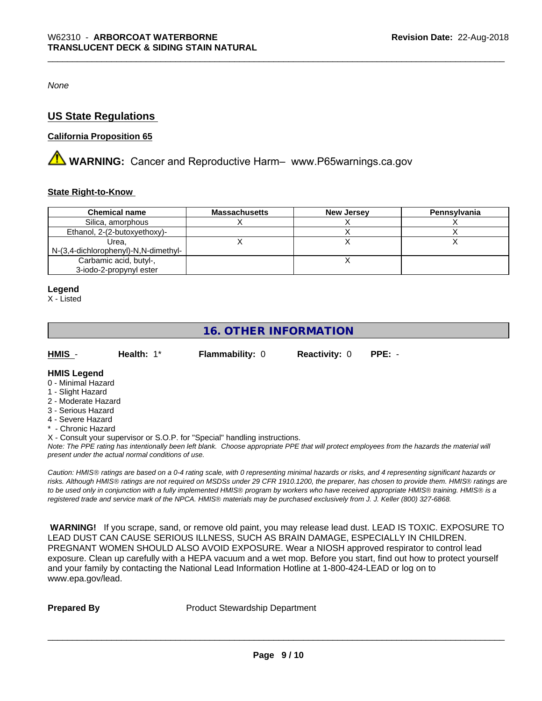*None*

#### **US State Regulations**

#### **California Proposition 65**

**A WARNING:** Cancer and Reproductive Harm– www.P65warnings.ca.gov

#### **State Right-to-Know**

| <b>Chemical name</b>                 | <b>Massachusetts</b> | <b>New Jersey</b> | Pennsylvania |
|--------------------------------------|----------------------|-------------------|--------------|
| Silica, amorphous                    |                      |                   |              |
| Ethanol, 2-(2-butoxyethoxy)-         |                      |                   |              |
| Urea.                                |                      |                   |              |
| N-(3,4-dichlorophenyl)-N,N-dimethyl- |                      |                   |              |
| Carbamic acid, butyl-,               |                      |                   |              |
| 3-iodo-2-propynyl ester              |                      |                   |              |

#### **Legend**

X - Listed

## **16. OTHER INFORMATION**

| HMIS | Health: 1* | <b>Flammability: 0</b> | <b>Reactivity: 0 PPE: -</b> |  |
|------|------------|------------------------|-----------------------------|--|
|      |            |                        |                             |  |

#### **HMIS Legend**

- 0 Minimal Hazard
- 1 Slight Hazard
- 2 Moderate Hazard
- 3 Serious Hazard
- 4 Severe Hazard
- \* Chronic Hazard

X - Consult your supervisor or S.O.P. for "Special" handling instructions.

*Note: The PPE rating has intentionally been left blank. Choose appropriate PPE that will protect employees from the hazards the material will present under the actual normal conditions of use.*

*Caution: HMISÒ ratings are based on a 0-4 rating scale, with 0 representing minimal hazards or risks, and 4 representing significant hazards or risks. Although HMISÒ ratings are not required on MSDSs under 29 CFR 1910.1200, the preparer, has chosen to provide them. HMISÒ ratings are to be used only in conjunction with a fully implemented HMISÒ program by workers who have received appropriate HMISÒ training. HMISÒ is a registered trade and service mark of the NPCA. HMISÒ materials may be purchased exclusively from J. J. Keller (800) 327-6868.*

 **WARNING!** If you scrape, sand, or remove old paint, you may release lead dust. LEAD IS TOXIC. EXPOSURE TO LEAD DUST CAN CAUSE SERIOUS ILLNESS, SUCH AS BRAIN DAMAGE, ESPECIALLY IN CHILDREN. PREGNANT WOMEN SHOULD ALSO AVOID EXPOSURE.Wear a NIOSH approved respirator to control lead exposure. Clean up carefully with a HEPA vacuum and a wet mop. Before you start, find out how to protect yourself and your family by contacting the National Lead Information Hotline at 1-800-424-LEAD or log on to www.epa.gov/lead.

**Prepared By** Product Stewardship Department